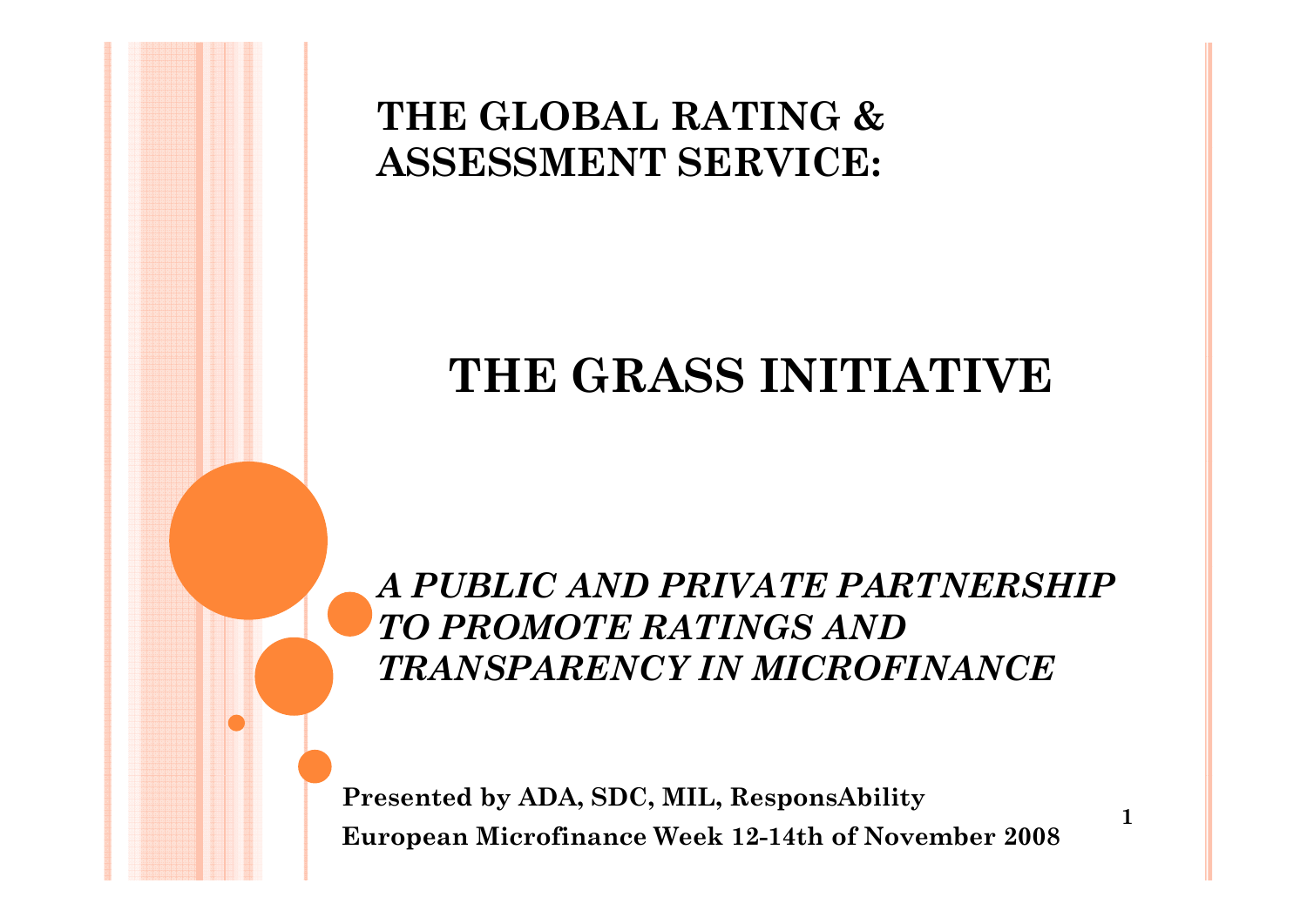## **THE GLOBAL RATING & ASSESSMENT SERVICE:**

# **THE GRASS INITIATIVE**

*A PUBLIC AND PRIVATE PARTNERSHIP TO PROMOTE RATINGS AND TRANSPARENCY IN MICROFINANCE* 

**1**

**Presented by ADA, SDC, MIL, ResponsAbility European Microfinance Week 12-14th of November 2008**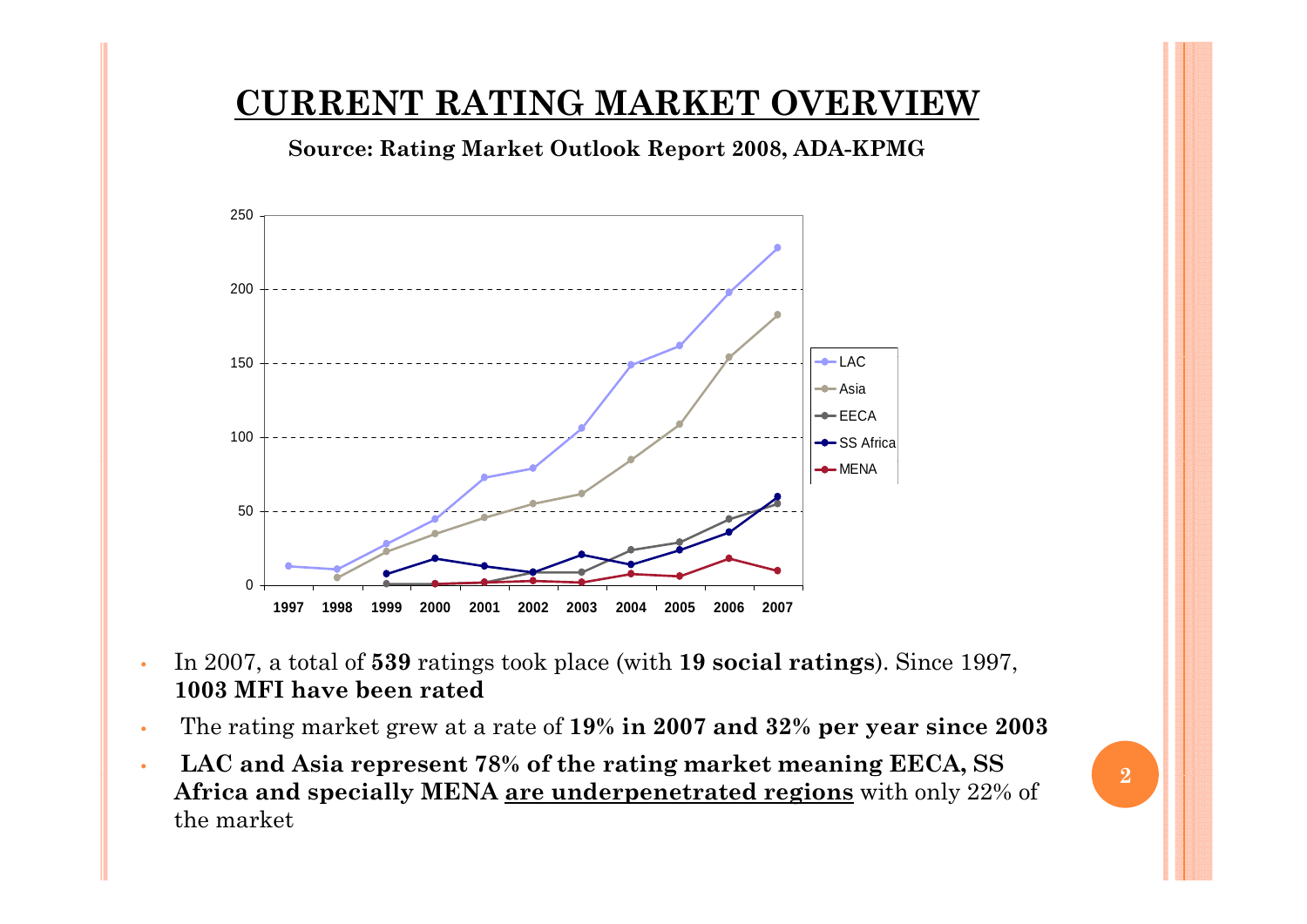#### **CURRENT RATING MARKET OVERVIEW**

**Source: Rating Market Outlook Report 2008 ADA 2008, ADA-KPMG**



- •In 2007, a total of **539** ratings took place (with **19 social ratings**). Since 1997, **1003 MFI have been rated**
- •The rating market grew at a rate of **19% in 2007 and 32% per year since 2003**
- •**lacktriangleright LAC and Asia represent 78% of the rating market meaning EECA, SS <sup>p</sup> <sup>g</sup> g, Africa and specially MENA are underpenetrated regions** with only 22% of the market

**2**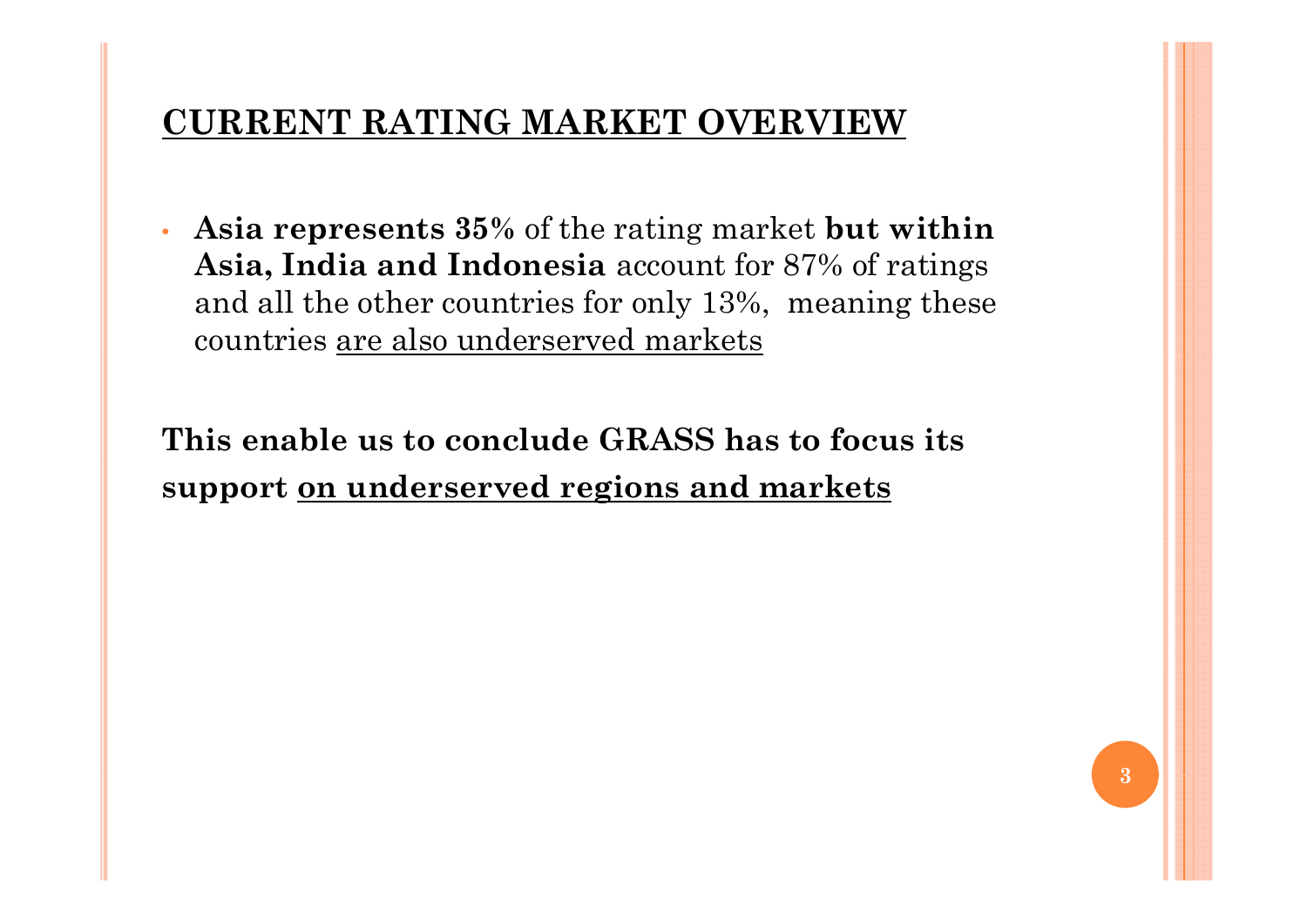#### **CURRENT RATING MARKET OVERVIEW**

• **Asia represents 35%** of the rating market **but within Asia, India and Indonesia** account for 87% of ratings and all the other countries for only 13%, meaning these countries are also underserved markets

**This enable us to conclude GRASS has to focus its support on underserved regions and markets**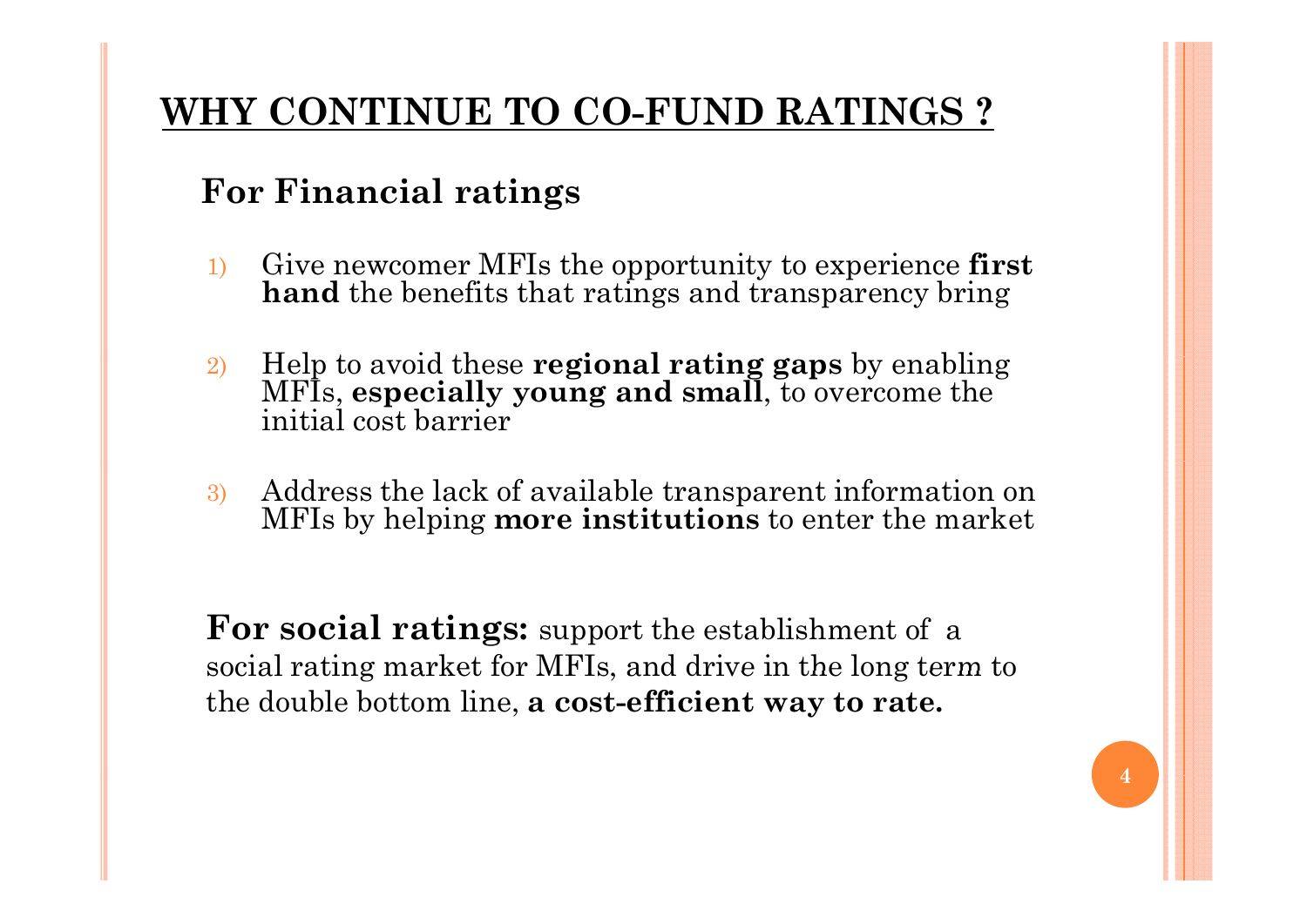## **WHY CONTINUE TO CO-FUND RATINGS ?**

## **For Financial ratings**

- 1) Give newcomer MFIs the opportunity to experience **first hand** the benefits that ratings and transparency bring
- 2) Help to avoid these **regional rating gaps** by enabling MFIs, **especially young and small**, to overcome the initial cost barrier
- 3) Address the lack of available transparent information on MFIs by helping **more institutions** to enter the market

**For social ratings:** support the establishment of a social rating market for MFIs, and drive in the long term to the double bottom line, **a cost-efficient way to rate.**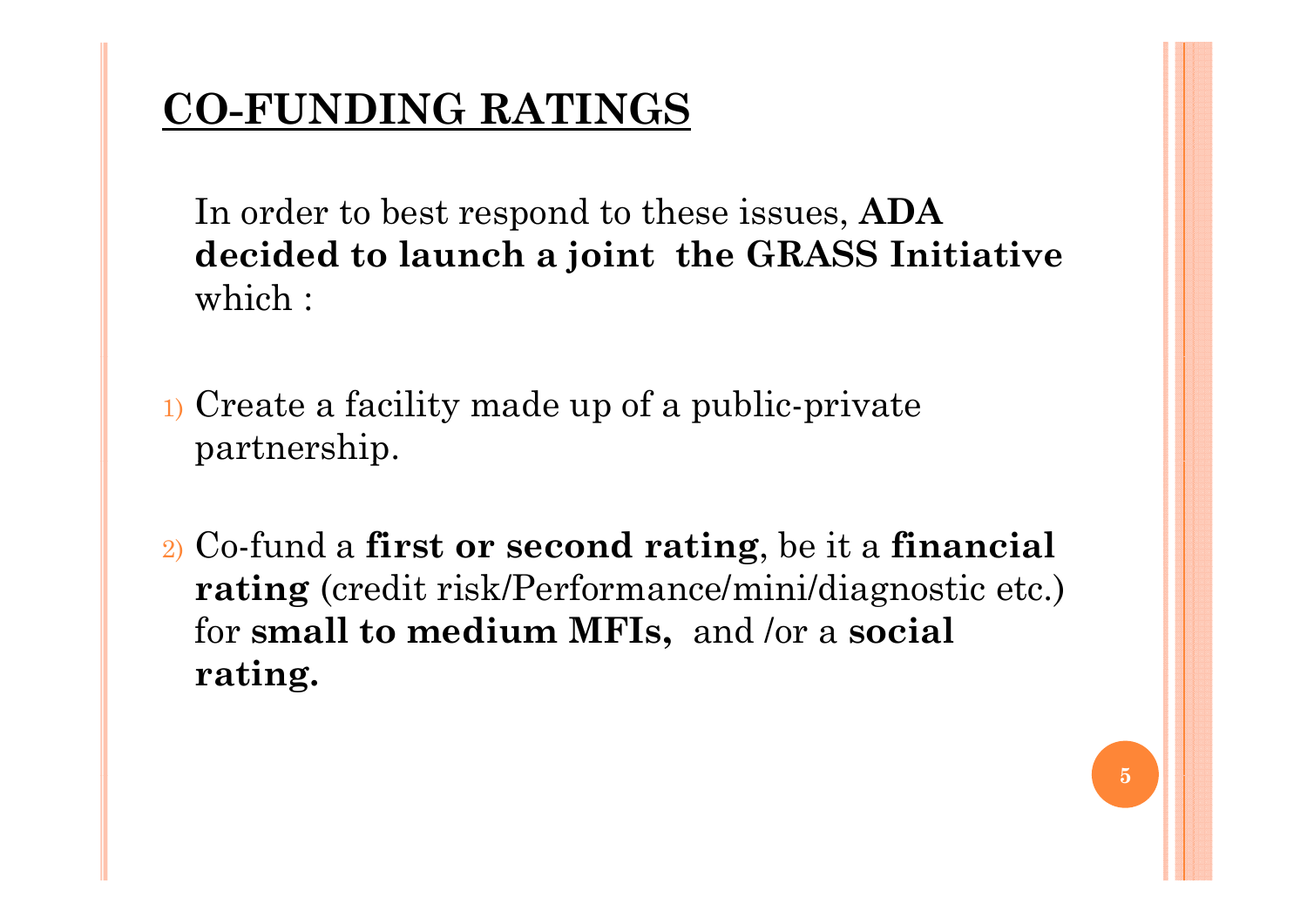# **CO-FUNDING RATINGS**

In order to best respond to these issues, **ADA decided to launch a joint the GRASS Initiative** which :

- 1) Create a facility made up of a public-private partnership.
- 2) Co-fund a **first or second rating**, be it a **financial rating** (credit risk/Performance/mini/diagnostic etc.) for **small to medium MFIs,** and /or a **social rating rating.**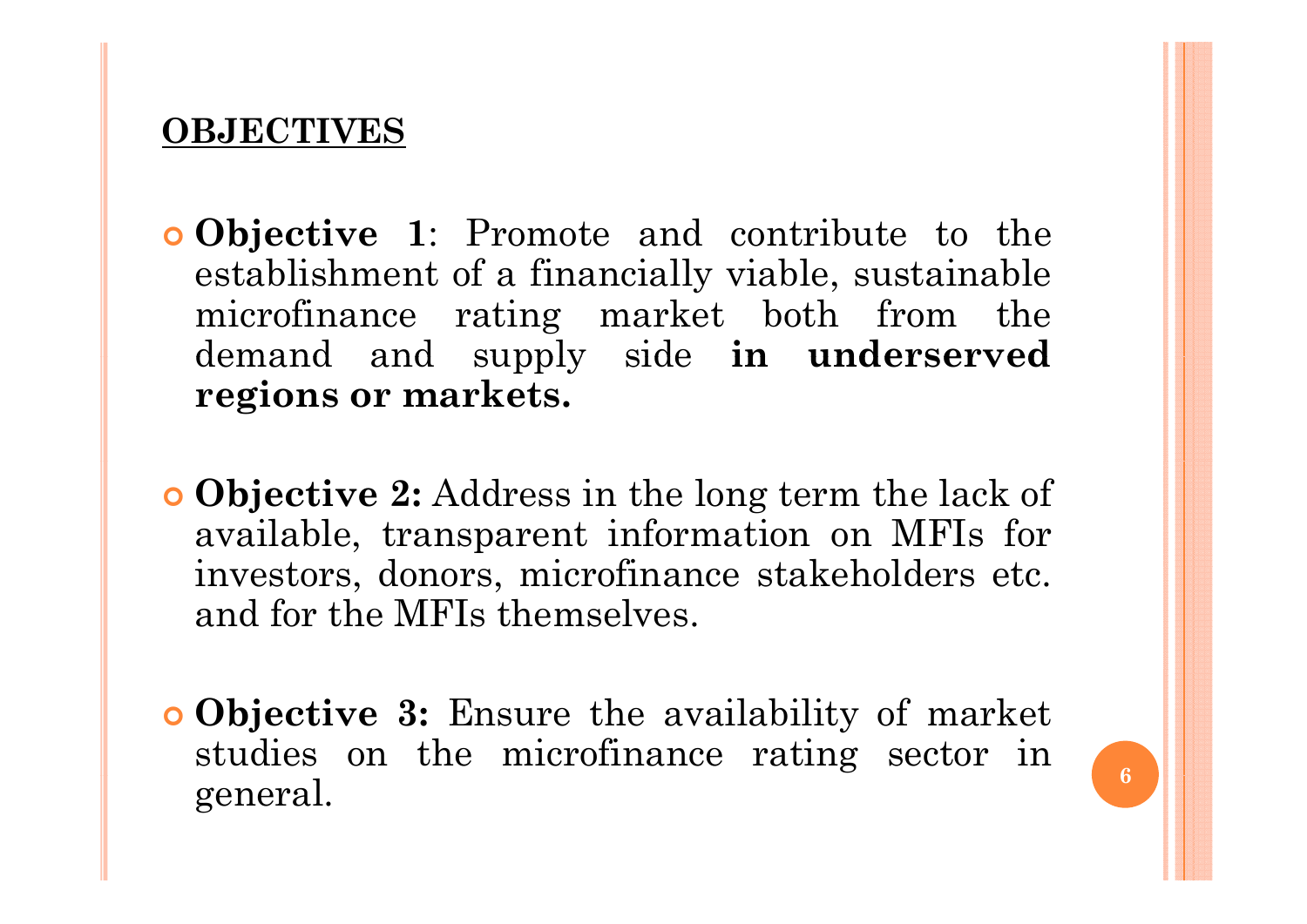#### **OBJECTIVES**

- | **Objective 1**: Promote and contribute to the establishment of <sup>a</sup> financially viable, sustainable microfinance rating market both from the demand and supply side **in underserved regions or markets.**
- | **Objective 2:** Address in the long term the lack of available, transparent information on MFIs for investors, donors, microfinance stakeholders etc. and for the MFIs themselves.
- | **Objective 3:** Ensure the availability of market studies on the microfinance rating sector in general.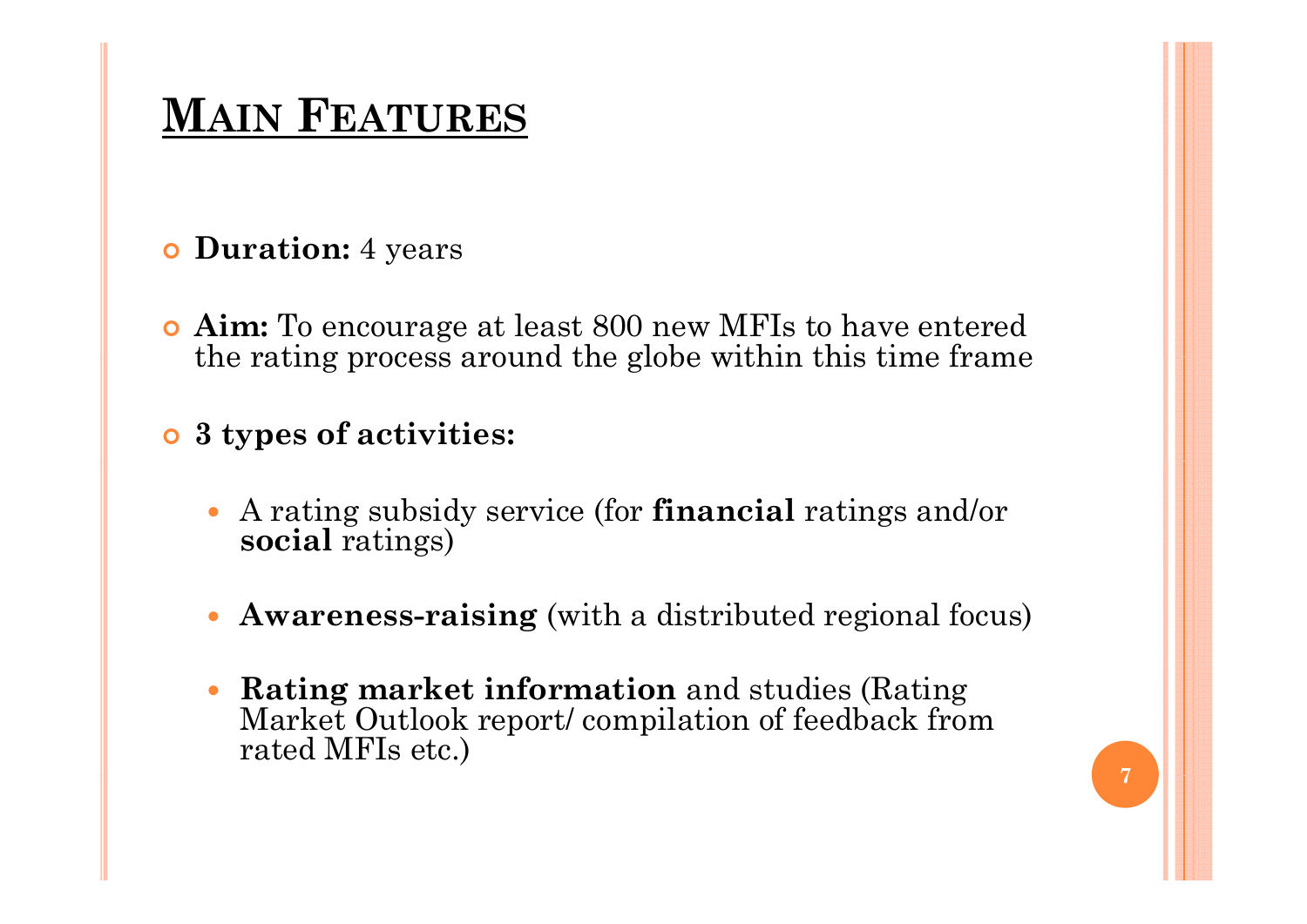# **MAIN FEATURES**

#### | **Duration:** 4 years

| **Aim:** To encourage at least 800 new MFIs to have entered the rating process around the globe within this time frame

#### | **3 types of activities:**

- y A rating subsidy service (for **financial** ratings and/or **social** ratings)
- $\bullet$ **Awareness-raising** (with a distributed regional focus)
- $\bullet$  **Rating market information** and studies (Rating Market Outlook report/ compilation of feedback from rated MFIs etc.)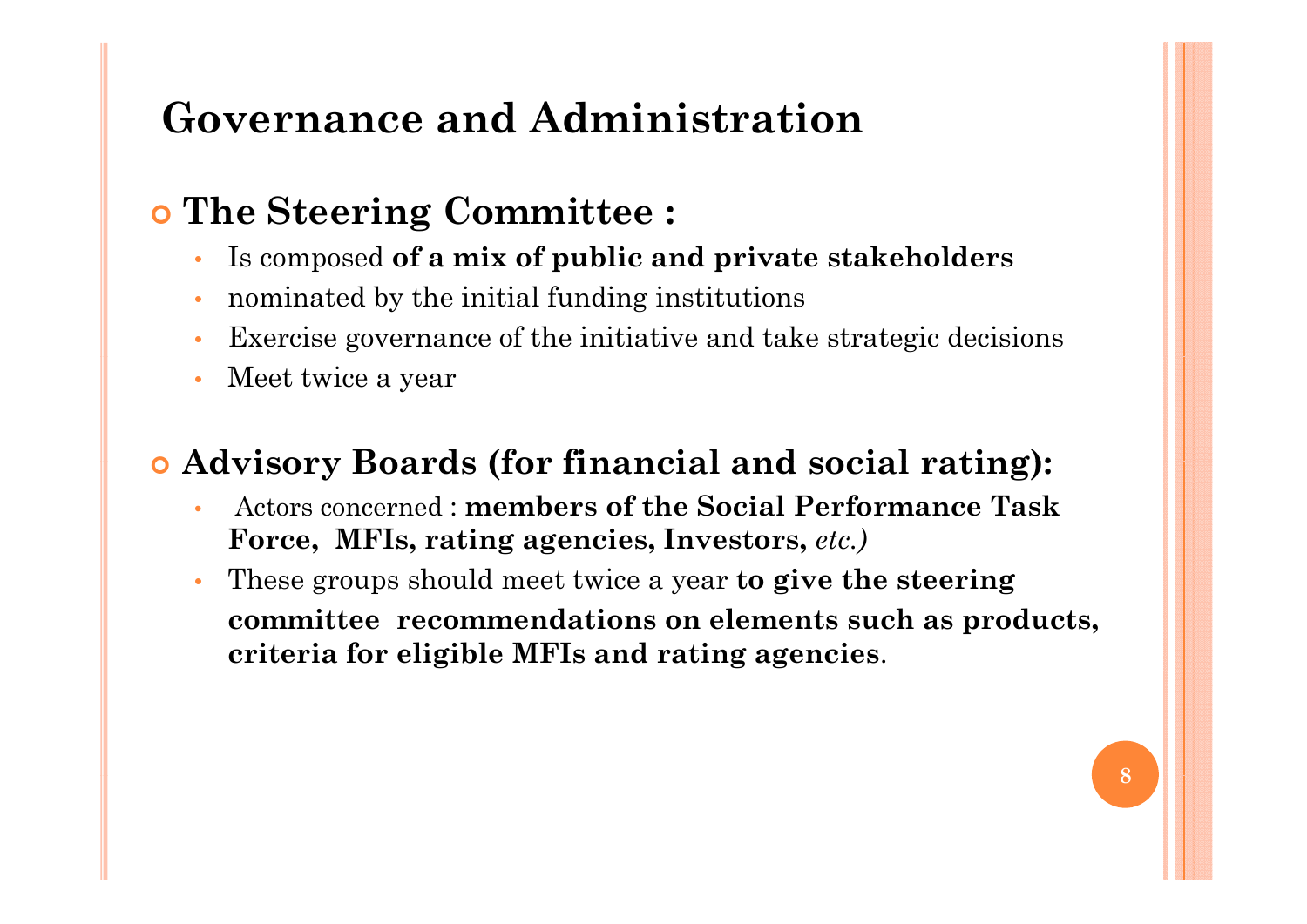## **Governance and Administration**

## | **The Steering Committee :**

- Is composed of a mix of public and private stakeholders
- •nominated by the initial funding institutions
- •Exercise governance of the initiative and take strategic decisions
- •Meet twice a year

### | **Advisory Boards (for financial and social rating):**

- • Actors concerned : **members of the Social Performance Task Force, MFIs, rating agencies, Investors,** *etc.)*
- • These groups should meet twice a year **to give the steering committee recommendations on elements such as products, criteria for eligible MFIs and rating agencies**.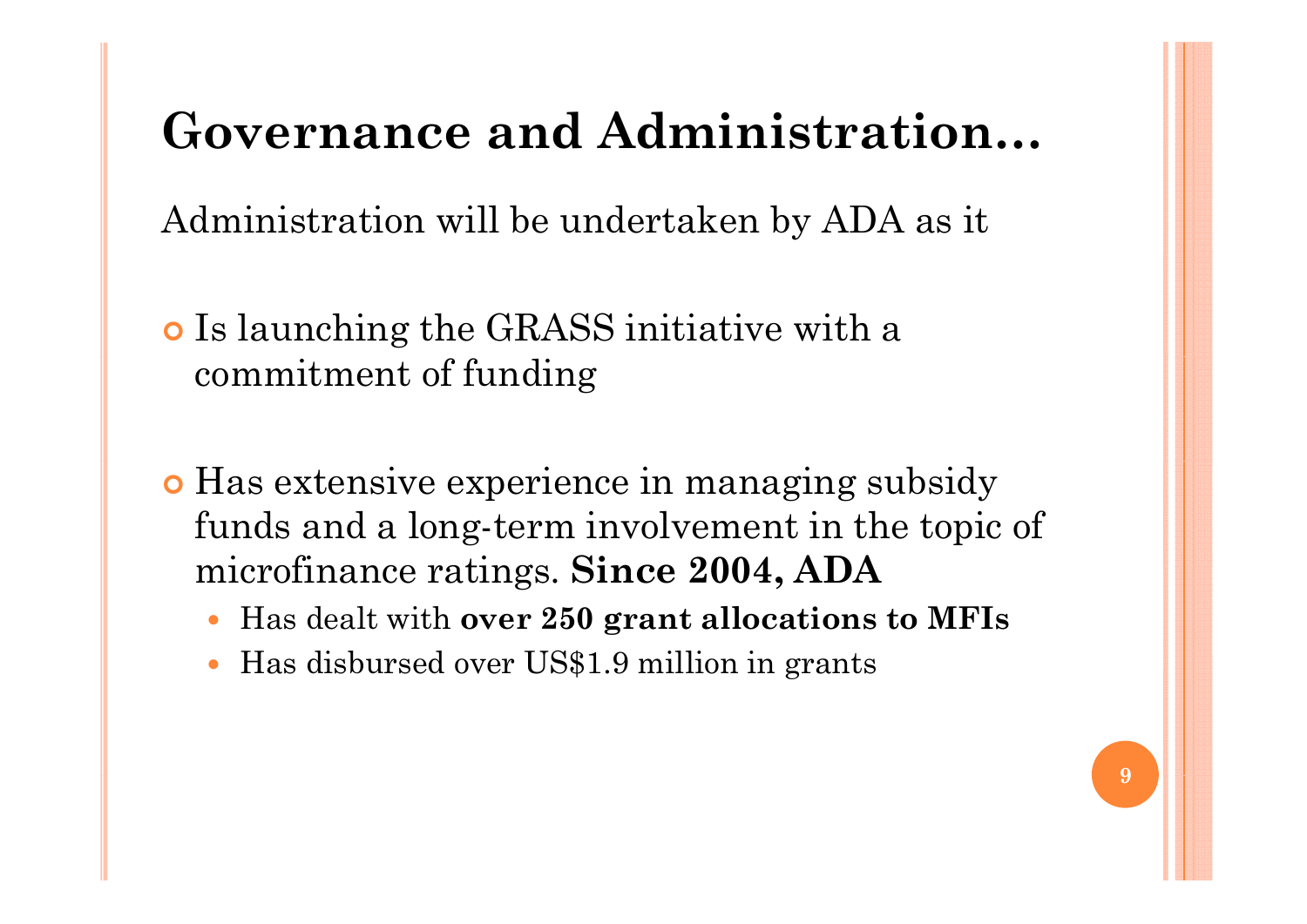# **Governance and Administration…**

Administration will be undertaken by ADA as it

- o Is launching the GRASS initiative with a commitment of funding
- **Has extensive experience in managing subsidy** funds and a long-term involvement in the topic of microfinance ratings. **Since 2004**, **ADA** 
	- $\bullet$ Has dealt with **over 250 grant allocations to MFIs**
	- $\bullet$ Has disbursed over US\$1.9 million in grants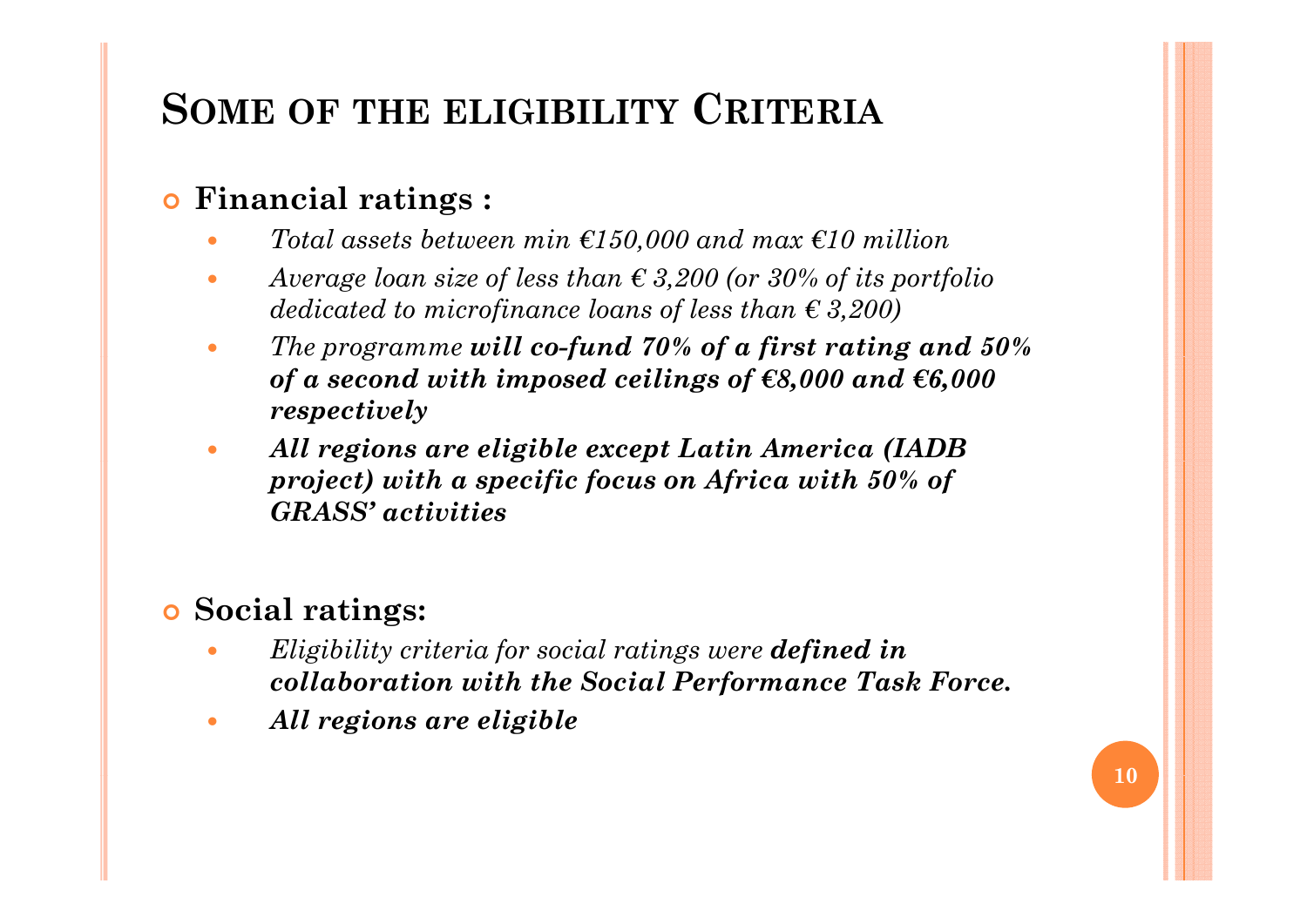## **SOME OF THE ELIGIBILITY CRITERIA**

#### $\bullet$ **Financial ratings :**

- $\bullet$ *Total assets between min €150,000 and max €10 million*
- $\bullet$  *Average loan size of less than € 3,200 (or 30% of its portfolio dedicated to microfinance loans of less than € 3,200)*
- $\bullet$ *The programme will co-fund 70% of a first rating and 50% of a second with imposed ceilings of €8,000 and €6,000 respectively*
- $\bullet$  *All reg gp ( ions are eligible except Latin America (IADB project) with a specific focus on Africa with 50% of GRASS' activities*

#### $\bullet$ **Social ratings:**

- $\bullet$  *Eligibility criteria for social ratings were defined in collaboration with the Social Performance Task Force.*
- $\bullet$ *All regions are eligible*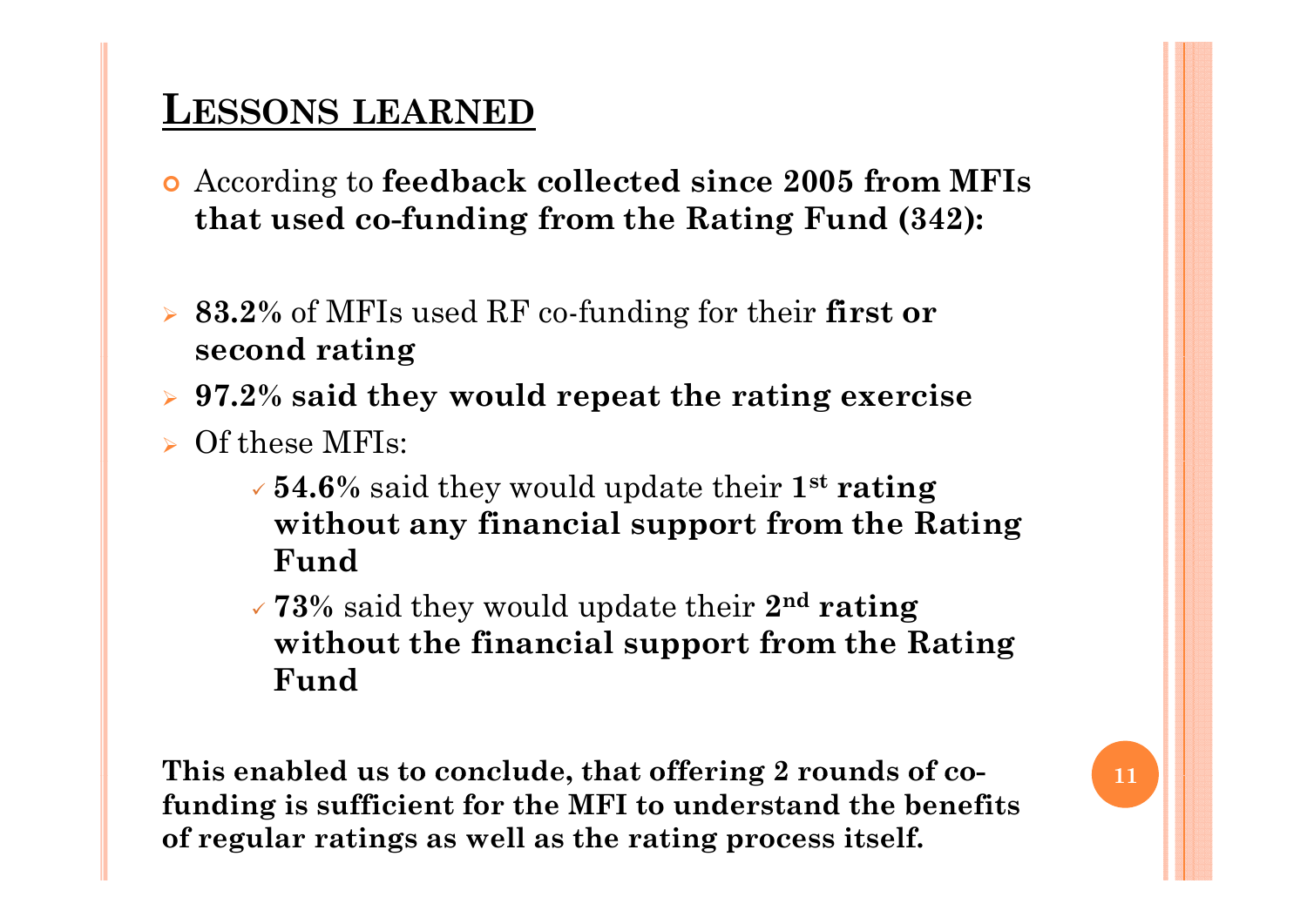## **LESSONS LEARNED**

- | According to **feedback collected since 2005 from MFIs that used co-funding from the Rating Fund (342):**
- ¾ **83.2%** of MFIs used RF co-funding for their **first or second rating**
- ¾ **97.2% said they would repeat the rating exercise**
- $\triangleright$  Of these MFIs:
	- 9 **54.6%** said they would update their **1st rating without any financial support from the Rating Fund**
	- 9 **73%** said they would update their **2n<sup>d</sup> rating without the financial support from the Rating**   $\bf{F}$ **und**

**This enabled us to conclude, that offering 2 rounds of co- conclude funding is sufficient for the MFI to understand the benefits of regular ratings as well as the rating process itself.**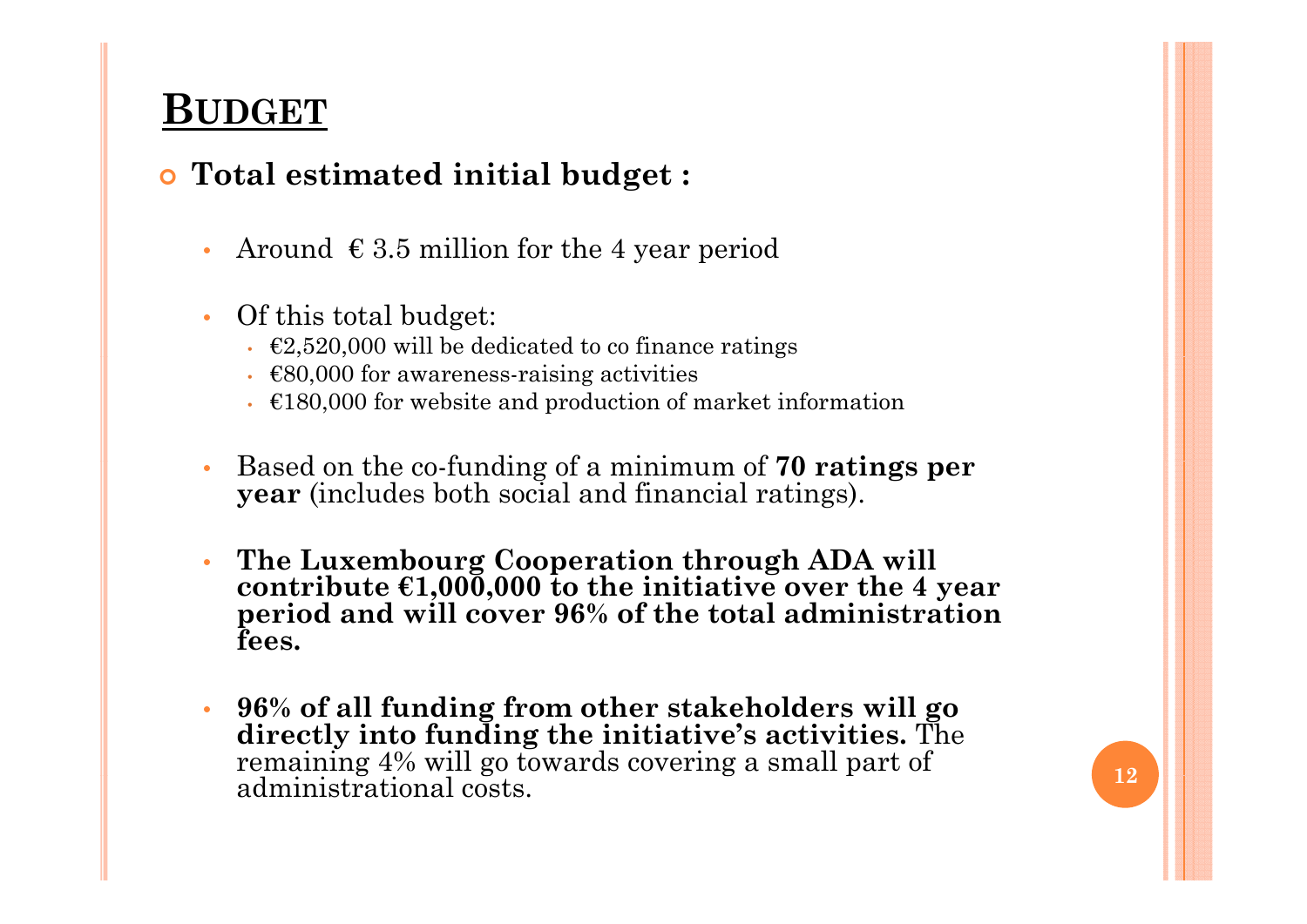## **BUDGET**

#### | **Total estimated initial budget :**

- •Around  $\epsilon$  3.5 million for the 4 year period
- • Of this total budget:
	- $\epsilon$ 2,520,000 will be dedicated to co finance ratings
	- $€80,000$  for awareness-raising activities
	- $\cdot$   $\epsilon$ 180,000 for website and production of market information
- •**•** Based on the co-funding of a minimum of **70 ratings per year** (includes both social and financial ratings).
- • **The Luxembourg Cooperation through ADA will contribute €1,000,000 to the initiative over the 4 year period and will cover 96% of the total administration fees.**
- • **96% of all funding from other stakeholders will go directly into funding the initiative's activities.** The remaining 4% will go towards covering a small part of **12**<br>administrational costs.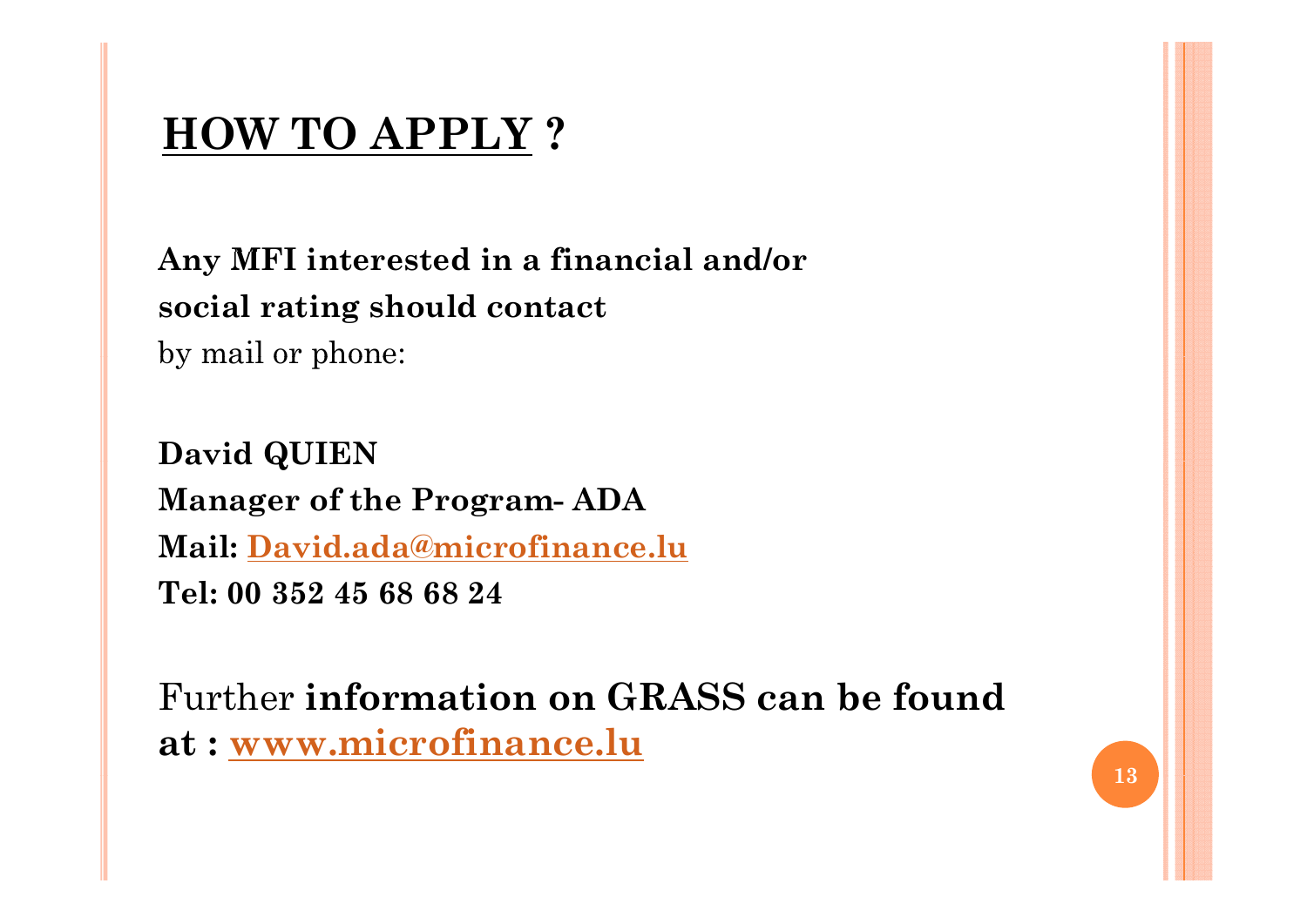## **HOW TO APPLY ?**

**A MFI i t t d i fi i l d/ Any interested in a financial and/or social rating should contact**  by mail or phone:

**David QUIEN Manager of the Program- ADA Mail: David.ada@microfinance.lu Tel: 00 352 45 68 68 24**

Further **information on GRASS can be foundat : www.microfinance.lu**

**13**